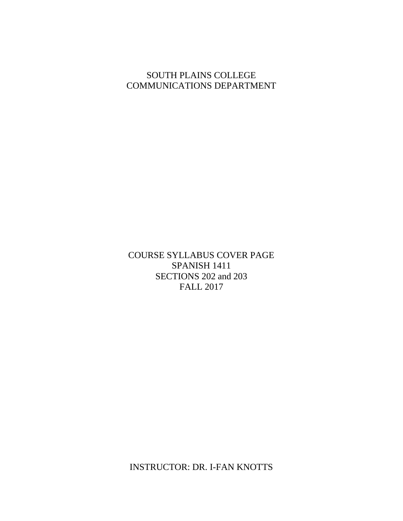# SOUTH PLAINS COLLEGE COMMUNICATIONS DEPARTMENT

COURSE SYLLABUS COVER PAGE SPANISH 1411 SECTIONS 202 and 203 FALL 2017

INSTRUCTOR: DR. I-FAN KNOTTS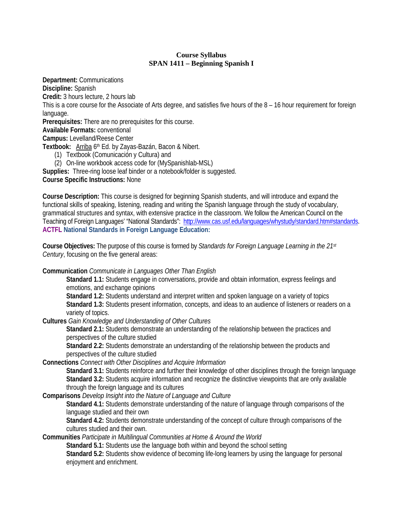# **Course Syllabus SPAN 1411 – Beginning Spanish I**

**Department:** Communications **Discipline:** Spanish **Credit:** 3 hours lecture, 2 hours lab This is a core course for the Associate of Arts degree, and satisfies five hours of the 8 – 16 hour requirement for foreign language. **Prerequisites:** There are no prerequisites for this course. **Available Formats:** conventional **Campus:** Levelland/Reese Center **Textbook:** Arriba 6th Ed. by Zayas-Bazán, Bacon & Nibert. (1) Textbook (Comunicación y Cultura) and (2) On-line workbook access code for (MySpanishlab-MSL) **Supplies:** Three-ring loose leaf binder or a notebook/folder is suggested.

**Course Specific Instructions:** None

**Course Description:** This course is designed for beginning Spanish students, and will introduce and expand the functional skills of speaking, listening, reading and writing the Spanish language through the study of vocabulary, grammatical structures and syntax, with extensive practice in the classroom. We follow the American Council on the Teaching of Foreign Languages' "National Standards": [http://www.cas.usf.edu/languages/whystudy/standard.htm#standards.](http://www.cas.usf.edu/languages/whystudy/standard.htm#standards) **ACTFL National [Standards](http://www.cas.usf.edu/languages/whystudy/standard.htm#standards) in Foreign Language Education:**

**Course Objectives:** The purpose of this course is formed by *Standards for Foreign Language Learning in the 21st Century*, focusing on the five general areas:

**Communication** *Communicate in Languages Other Than English*

**Standard 1.1:** Students engage in conversations, provide and obtain information, express feelings and emotions, and exchange opinions

**Standard 1.2:** Students understand and interpret written and spoken language on a variety of topics **Standard 1.3:** Students present information, concepts, and ideas to an audience of listeners or readers on a variety of topics.

**Cultures** *Gain Knowledge and Understanding of Other Cultures*

**Standard 2.1:** Students demonstrate an understanding of the relationship between the practices and perspectives of the culture studied

**Standard 2.2:** Students demonstrate an understanding of the relationship between the products and perspectives of the culture studied

**Connections** *Connect with Other Disciplines and Acquire Information*

**Standard 3.1:** Students reinforce and further their knowledge of other disciplines through the foreign language **Standard 3.2:** Students acquire information and recognize the distinctive viewpoints that are only available through the foreign language and its cultures

**Comparisons** *Develop Insight into the Nature of Language and Culture*

**Standard 4.1:** Students demonstrate understanding of the nature of language through comparisons of the language studied and their own

**Standard 4.2:** Students demonstrate understanding of the concept of culture through comparisons of the cultures studied and their own.

**Communities** *Participate in Multilingual Communities at Home & Around the World*

**Standard 5.1:** Students use the language both within and beyond the school setting

**Standard 5.2:** Students show evidence of becoming life-long learners by using the language for personal enjoyment and enrichment.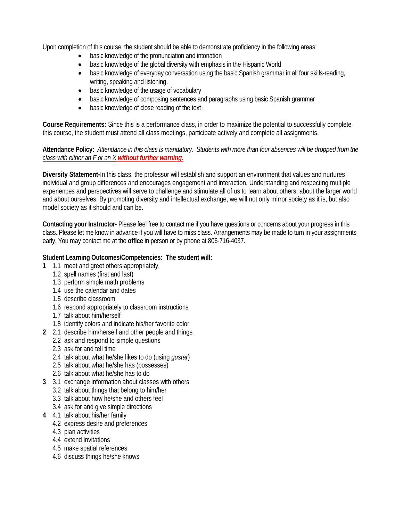Upon completion of this course, the student should be able to demonstrate proficiency in the following areas:

- basic knowledge of the pronunciation and intonation
- basic knowledge of the global diversity with emphasis in the Hispanic World
- basic knowledge of everyday conversation using the basic Spanish grammar in all four skills-reading, writing, speaking and listening.
- basic knowledge of the usage of vocabulary
- basic knowledge of composing sentences and paragraphs using basic Spanish grammar
- basic knowledge of close reading of the text

**Course Requirements:** Since this is a performance class, in order to maximize the potential to successfully complete this course, the student must attend all class meetings, participate actively and complete all assignments.

# **Attendance Policy:** *Attendance in this class is mandatory. Students with more than four absences will be dropped from the class with either an F or an X without further warning***.**

**Diversity Statement-**In this class, the professor will establish and support an environment that values and nurtures individual and group differences and encourages engagement and interaction. Understanding and respecting multiple experiences and perspectives will serve to challenge and stimulate all of us to learn about others, about the larger world and about ourselves. By promoting diversity and intellectual exchange, we will not only mirror society as it is, but also model society as it should and can be.

**Contacting your Instructor-** Please feel free to contact me if you have questions or concerns about your progress in this class. Please let me know in advance if you will have to miss class. Arrangements may be made to turn in your assignments early. You may contact me at the **office** in person or by phone at 806-716-4037.

# **Student Learning Outcomes/Competencies: The student will:**

- **1** 1.1 meet and greet others appropriately.
	- 1.2 spell names (first and last)
	- 1.3 perform simple math problems
	- 1.4 use the calendar and dates
	- 1.5 describe classroom
	- 1.6 respond appropriately to classroom instructions
	- 1.7 talk about him/herself
	- 1.8 identify colors and indicate his/her favorite color
- **2** 2.1 describe him/herself and other people and things
	- 2.2 ask and respond to simple questions
	- 2.3 ask for and tell time
	- 2.4 talk about what he/she likes to do (using *gustar*)
	- 2.5 talk about what he/she has (possesses)
	- 2.6 talk about what he/she has to do
- **3** 3.1 exchange information about classes with others
	- 3.2 talk about things that belong to him/her
	- 3.3 talk about how he/she and others feel
	- 3.4 ask for and give simple directions
- **4** 4.1 talk about his/her family
	- 4.2 express desire and preferences
	- 4.3 plan activities
	- 4.4 extend invitations
	- 4.5 make spatial references
	- 4.6 discuss things he/she knows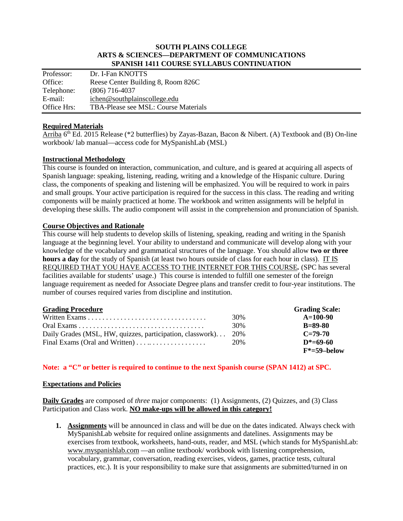#### **SOUTH PLAINS COLLEGE ARTS & SCIENCES—DEPARTMENT OF COMMUNICATIONS SPANISH 1411 COURSE SYLLABUS CONTINUATION**

| Professor:  | Dr. I-Fan KNOTTS                     |
|-------------|--------------------------------------|
| Office:     | Reese Center Building 8, Room 826C   |
| Telephone:  | $(806)$ 716-4037                     |
| E-mail:     | ichen@southplainscollege.edu         |
| Office Hrs: | TBA-Please see MSL: Course Materials |

#### **Required Materials**

Arriba  $6<sup>th</sup>$  Ed. 2015 Release (\*2 butterflies) by Zayas-Bazan, Bacon & Nibert. (A) Textbook and (B) On-line workbook/ lab manual—access code for MySpanishLab (MSL)

## **Instructional Methodology**

This course is founded on interaction, communication, and culture, and is geared at acquiring all aspects of Spanish language: speaking, listening, reading, writing and a knowledge of the Hispanic culture. During class, the components of speaking and listening will be emphasized. You will be required to work in pairs and small groups. Your active participation is required for the success in this class. The reading and writing components will be mainly practiced at home. The workbook and written assignments will be helpful in developing these skills. The audio component will assist in the comprehension and pronunciation of Spanish.

## **Course Objectives and Rationale**

This course will help students to develop skills of listening, speaking, reading and writing in the Spanish language at the beginning level. Your ability to understand and communicate will develop along with your knowledge of the vocabulary and grammatical structures of the language. You should allow **two or three hours a day** for the study of Spanish (at least two hours outside of class for each hour in class). IT IS REQUIRED THAT YOU HAVE ACCESS TO THE INTERNET FOR THIS COURSE*.* (SPC has several facilities available for students' usage.) This course is intended to fulfill one semester of the foreign language requirement as needed for Associate Degree plans and transfer credit to four-year institutions. The number of courses required varies from discipline and institution.

#### **Grading Procedure Grading Scale:**

|                                                                | 30% | $A=100-90$      |
|----------------------------------------------------------------|-----|-----------------|
|                                                                | 30% | $B = 89 - 80$   |
| Daily Grades (MSL, HW, quizzes, participation, classwork) 20%  |     | $C = 79-70$     |
| Final Exams (Oral and Written) $\dots \dots \dots \dots \dots$ | 20% | $D^* = 69.60$   |
|                                                                |     | $F^*$ =59–below |

# **Note: a "C" or better is required to continue to the next Spanish course (SPAN 1412) at SPC.**

#### **Expectations and Policies**

**Daily Grades** are composed of *three* major components: (1) Assignments, (2) Quizzes, and (3) Class Participation and Class work. **NO make-ups will be allowed in this category!**

**1. Assignments** will be announced in class and will be due on the dates indicated. Always check with MySpanishLab website for required online assignments and datelines. Assignments may be exercises from textbook, worksheets, hand-outs, reader, and MSL (which stands for MySpanishLab: [www.myspanishlab.com](http://www.myspanishlab.com/) —an online textbook/ workbook with listening comprehension, vocabulary, grammar, conversation, reading exercises, videos, games, practice tests, cultural practices, etc.). It is your responsibility to make sure that assignments are submitted/turned in on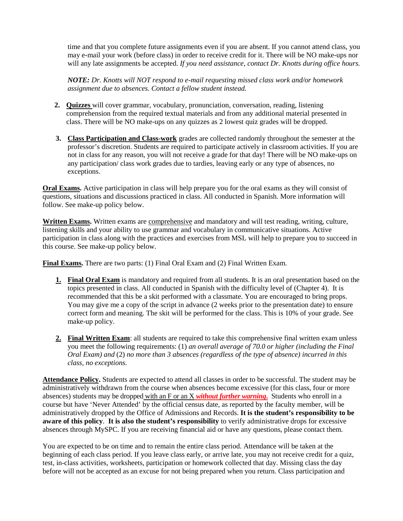time and that you complete future assignments even if you are absent. If you cannot attend class, you may e-mail your work (before class) in order to receive credit for it. There will be NO make-ups nor will any late assignments be accepted. *If you need assistance, contact Dr. Knotts during office hours.* 

*NOTE: Dr. Knotts will NOT respond to e-mail requesting missed class work and/or homework assignment due to absences. Contact a fellow student instead.* 

- **2. Quizzes** will cover grammar, vocabulary, pronunciation, conversation, reading, listening comprehension from the required textual materials and from any additional material presented in class. There will be NO make-ups on any quizzes as 2 lowest quiz grades will be dropped.
- **3. Class Participation and Class-work** grades are collected randomly throughout the semester at the professor's discretion. Students are required to participate actively in classroom activities. If you are not in class for any reason, you will not receive a grade for that day! There will be NO make-ups on any participation/ class work grades due to tardies, leaving early or any type of absences, no exceptions.

**Oral Exams.** Active participation in class will help prepare you for the oral exams as they will consist of questions, situations and discussions practiced in class. All conducted in Spanish. More information will follow. See make-up policy below.

**Written Exams.** Written exams are comprehensive and mandatory and will test reading, writing, culture, listening skills and your ability to use grammar and vocabulary in communicative situations. Active participation in class along with the practices and exercises from MSL will help to prepare you to succeed in this course. See make-up policy below.

**Final Exams.** There are two parts: (1) Final Oral Exam and (2) Final Written Exam.

- **1. Final Oral Exam** is mandatory and required from all students. It is an oral presentation based on the topics presented in class. All conducted in Spanish with the difficulty level of (Chapter 4). It is recommended that this be a skit performed with a classmate. You are encouraged to bring props. You may give me a copy of the script in advance (2 weeks prior to the presentation date) to ensure correct form and meaning. The skit will be performed for the class. This is 10% of your grade. See make-up policy.
- 2. Final Written Exam: all students are required to take this comprehensive final written exam unless you meet the following requirements: (1) *an overall average of 70.0 or higher (including the Final Oral Exam) and* (2) *no more than 3 absences (regardless of the type of absence) incurred in this class, no exceptions.*

**Attendance Policy.** Students are expected to attend all classes in order to be successful. The student may be administratively withdrawn from the course when absences become excessive (for this class, four or more absences) students may be dropped with an F or an X *without further warning***.** Students who enroll in a course but have 'Never Attended' by the official census date, as reported by the faculty member, will be administratively dropped by the Office of Admissions and Records. **It is the student's responsibility to be aware of this policy**. **It is also the student's responsibility** to verify administrative drops for excessive absences through MySPC. If you are receiving financial aid or have any questions, please contact them.

You are expected to be on time and to remain the entire class period. Attendance will be taken at the beginning of each class period. If you leave class early, or arrive late, you may not receive credit for a quiz, test, in-class activities, worksheets, participation or homework collected that day. Missing class the day before will not be accepted as an excuse for not being prepared when you return. Class participation and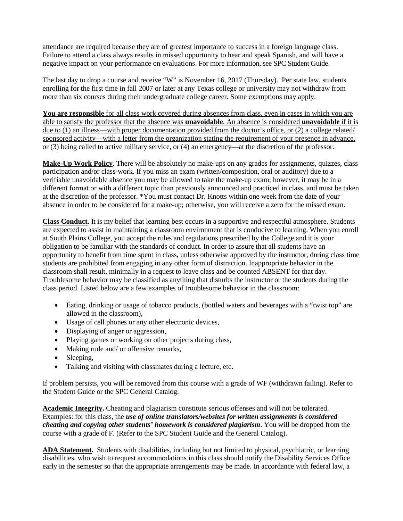attendance are required because they are of greatest importance to success in a foreign language class. Failure to attend a class always results in missed opportunity to hear and speak Spanish, and will have a negative impact on your performance on evaluations. For more information, see SPC Student Guide.

The last day to drop a course and receive "W" is November 16, 2017 (Thursday). Per state law, students enrolling for the first time in fall 2007 or later at any Texas college or university may not withdraw from more than six courses during their undergraduate college career. Some exemptions may apply.

**You are responsible** for all class work covered during absences from class, even in cases in which you are able to satisfy the professor that the absence was **unavoidable**. An absence is considered **unavoidable** if it is due to (1) an illness—with proper documentation provided from the doctor's office, or (2) a college related/ sponsored activity—with a letter from the organization stating the requirement of your presence in advance, or (3) being called to active military service, or (4) an emergency—at the discretion of the professor.

**Make-Up Work Policy**. There will be absolutely no make-ups on any grades for assignments, quizzes, class participation and/or class-work. If you miss an exam (written/composition, oral or auditory) due to a verifiable unavoidable absence you may be allowed to take the make-up exam; however, it may be in a different format or with a different topic than previously announced and practiced in class, and must be taken at the discretion of the professor. \*You must contact Dr. Knotts within one week from the date of your absence in order to be considered for a make-up; otherwise, you will receive a zero for the missed exam.

**Class Conduct.** It is my belief that learning best occurs in a supportive and respectful atmosphere. Students are expected to assist in maintaining a classroom environment that is conducive to learning. When you enroll at South Plains College, you accept the rules and regulations prescribed by the College and it is your obligation to be familiar with the standards of conduct. In order to assure that all students have an opportunity to benefit from time spent in class, unless otherwise approved by the instructor, during class time students are prohibited from engaging in any other form of distraction. Inappropriate behavior in the classroom shall result, minimally in a request to leave class and be counted ABSENT for that day. Troublesome behavior may be classified as anything that disturbs the instructor or the students during the class period. Listed below are a few examples of troublesome behavior in the classroom:

- Eating, drinking or usage of tobacco products, (bottled waters and beverages with a "twist top" are allowed in the classroom),
- Usage of cell phones or any other electronic devices,
- Displaying of anger or aggression,
- Playing games or working on other projects during class,
- Making rude and/ or offensive remarks.
- Sleeping,
- Talking and visiting with classmates during a lecture, etc.

If problem persists, you will be removed from this course with a grade of WF (withdrawn failing). Refer to the Student Guide or the SPC General Catalog.

**Academic Integrity.** Cheating and plagiarism constitute serious offenses and will not be tolerated. Examples: for this class, the *use of online translators/websites for written assignments is considered cheating and copying other students' homework is considered plagiarism*. You will be dropped from the course with a grade of F. (Refer to the SPC Student Guide and the General Catalog).

**ADA Statement.** Students with disabilities, including but not limited to physical, psychiatric, or learning disabilities, who wish to request accommodations in this class should notify the Disability Services Office early in the semester so that the appropriate arrangements may be made. In accordance with federal law, a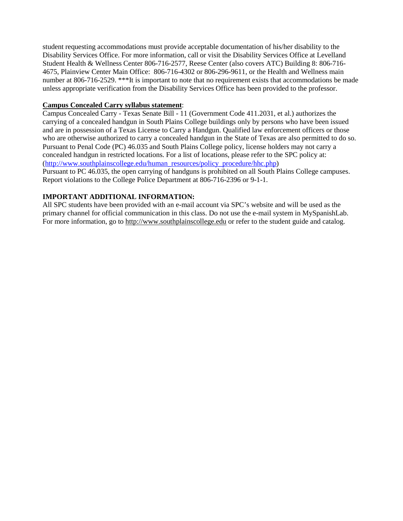student requesting accommodations must provide acceptable documentation of his/her disability to the Disability Services Office. For more information, call or visit the Disability Services Office at Levelland Student Health & Wellness Center 806-716-2577, Reese Center (also covers ATC) Building 8: 806-716- 4675, Plainview Center Main Office: 806-716-4302 or 806-296-9611, or the Health and Wellness main number at 806-716-2529. \*\*\*It is important to note that no requirement exists that accommodations be made unless appropriate verification from the Disability Services Office has been provided to the professor.

#### **Campus Concealed Carry syllabus statement**:

Campus Concealed Carry - Texas Senate Bill - 11 (Government Code 411.2031, et al.) authorizes the carrying of a concealed handgun in South Plains College buildings only by persons who have been issued and are in possession of a Texas License to Carry a Handgun. Qualified law enforcement officers or those who are otherwise authorized to carry a concealed handgun in the State of Texas are also permitted to do so. Pursuant to Penal Code (PC) 46.035 and South Plains College policy, license holders may not carry a concealed handgun in restricted locations. For a list of locations, please refer to the SPC policy at: [\(http://www.southplainscollege.edu/human\\_resources/policy\\_procedure/hhc.php\)](http://www.southplainscollege.edu/human_resources/policy_procedure/hhc.php)

Pursuant to PC 46.035, the open carrying of handguns is prohibited on all South Plains College campuses. Report violations to the College Police Department at 806-716-2396 or 9-1-1.

## **IMPORTANT ADDITIONAL INFORMATION:**

All SPC students have been provided with an e-mail account via SPC's website and will be used as the primary channel for official communication in this class. Do not use the e-mail system in MySpanishLab. For more information, go to [http://www.southplainscollege.edu](http://www.southplainscollege.edu/) or refer to the student guide and catalog.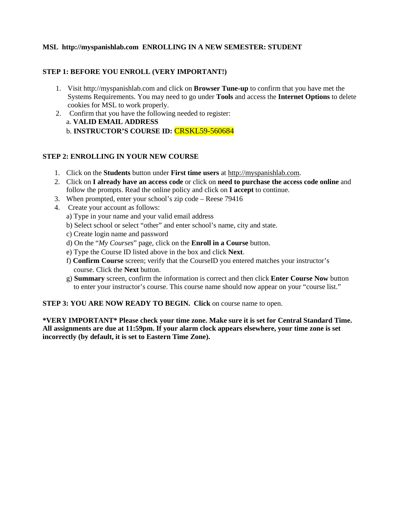# **MSL http://myspanishlab.com ENROLLING IN A NEW SEMESTER: STUDENT**

### **STEP 1: BEFORE YOU ENROLL (VERY IMPORTANT!)**

- 1. Visit http://myspanishlab.com and click on **Browser Tune-up** to confirm that you have met the Systems Requirements. You may need to go under **Tools** and access the **Internet Options** to delete cookies for MSL to work properly.
- 2. Confirm that you have the following needed to register: a. **VALID EMAIL ADDRESS**  b. **INSTRUCTOR'S COURSE ID:** CRSKL59-560684

#### **STEP 2: ENROLLING IN YOUR NEW COURSE**

- 1. Click on the **Students** button under **First time users** at [http://myspanishlab.com.](http://myspanishlab.com/)
- 2. Click on **I already have an access code** or click on **need to purchase the access code online** and follow the prompts. Read the online policy and click on **I accept** to continue.
- 3. When prompted, enter your school's zip code Reese 79416
- 4. Create your account as follows:
	- a) Type in your name and your valid email address
	- b) Select school or select "other" and enter school's name, city and state.
	- c) Create login name and password
	- d) On the "*My Courses*" page, click on the **Enroll in a Course** button.
	- e) Type the Course ID listed above in the box and click **Next**.
	- f) **Confirm Course** screen; verify that the CourseID you entered matches your instructor's course. Click the **Next** button.
	- g) **Summary** screen, confirm the information is correct and then click **Enter Course Now** button to enter your instructor's course. This course name should now appear on your "course list."

**STEP 3: YOU ARE NOW READY TO BEGIN. Click** on course name to open.

**\*VERY IMPORTANT\* Please check your time zone. Make sure it is set for Central Standard Time. All assignments are due at 11:59pm. If your alarm clock appears elsewhere, your time zone is set incorrectly (by default, it is set to Eastern Time Zone).**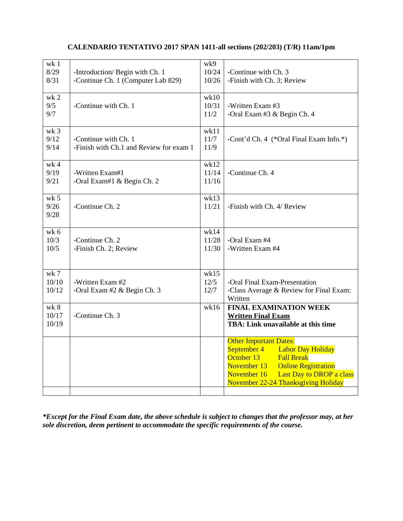# **CALENDARIO TENTATIVO 2017 SPAN 1411-all sections (202/203) (T/R) 11am/1pm**

| wk <sub>1</sub><br>8/29<br>8/31 | -Introduction/ Begin with Ch. 1<br>-Continue Ch. 1 (Computer Lab 829) | wk9<br>10/24<br>10/26  | -Continue with Ch. 3<br>-Finish with Ch. 3; Review                                                                                                                                                                                      |
|---------------------------------|-----------------------------------------------------------------------|------------------------|-----------------------------------------------------------------------------------------------------------------------------------------------------------------------------------------------------------------------------------------|
| $wk$ 2<br>9/5<br>9/7            | -Continue with Ch. 1                                                  | wk10<br>10/31<br>11/2  | -Written Exam #3<br>-Oral Exam #3 & Begin Ch. 4                                                                                                                                                                                         |
| wk <sub>3</sub><br>9/12<br>9/14 | -Continue with Ch. 1<br>-Finish with Ch.1 and Review for exam 1       | wk11<br>11/7<br>11/9   | -Cont'd Ch. 4 (*Oral Final Exam Info.*)                                                                                                                                                                                                 |
| wk <sub>4</sub><br>9/19<br>9/21 | -Written Exam#1<br>-Oral Exam#1 & Begin Ch. 2                         | wk12<br>11/14<br>11/16 | -Continue Ch. 4                                                                                                                                                                                                                         |
| wk <sub>5</sub><br>9/26<br>9/28 | -Continue Ch. 2                                                       | wk13<br>11/21          | -Finish with Ch. 4/ Review                                                                                                                                                                                                              |
| wk <sub>6</sub><br>10/3<br>10/5 | -Continue Ch. 2<br>-Finish Ch. 2; Review                              | wk14<br>11/28<br>11/30 | -Oral Exam #4<br>-Written Exam #4                                                                                                                                                                                                       |
| $wk$ 7<br>10/10<br>10/12        | -Written Exam #2<br>-Oral Exam #2 & Begin Ch. 3                       | wk15<br>12/5<br>12/7   | -Oral Final Exam-Presentation<br>-Class Average & Review for Final Exam:<br>Written                                                                                                                                                     |
| wk 8<br>10/17<br>10/19          | -Continue Ch. 3                                                       | wk16                   | <b>FINAL EXAMINATION WEEK</b><br><b>Written Final Exam</b><br>TBA: Link unavailable at this time                                                                                                                                        |
|                                 |                                                                       |                        | <b>Other Important Dates:</b><br>September 4 Labor Day Holiday<br>October 13<br><b>Fall Break</b><br>November 13<br><b>Online Registration</b><br>November 16<br><b>Last Day to DROP a class</b><br>November 22-24 Thanksgiving Holiday |

*\*Except for the Final Exam date, the above schedule is subject to changes that the professor may, at her sole discretion, deem pertinent to accommodate the specific requirements of the course.*